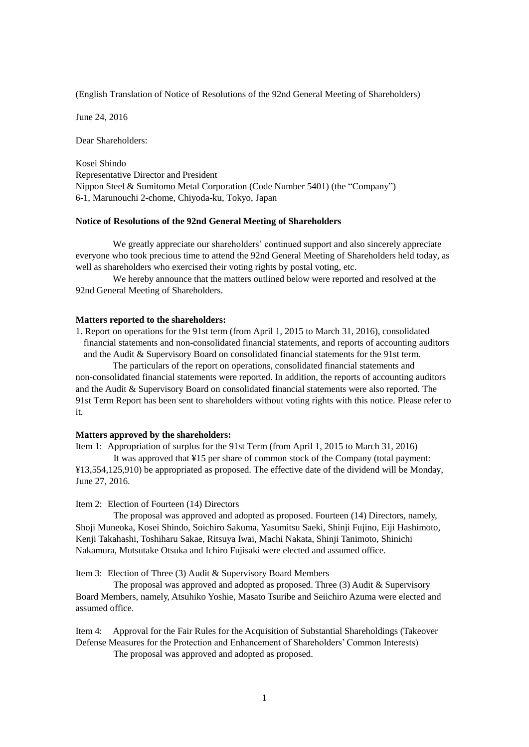(English Translation of Notice of Resolutions of the 92nd General Meeting of Shareholders)

June 24, 2016

Dear Shareholders:

Kosei Shindo Representative Director and President Nippon Steel & Sumitomo Metal Corporation (Code Number 5401) (the "Company") 6-1, Marunouchi 2-chome, Chiyoda-ku, Tokyo, Japan

## **Notice of Resolutions of the 92nd General Meeting of Shareholders**

We greatly appreciate our shareholders' continued support and also sincerely appreciate everyone who took precious time to attend the 92nd General Meeting of Shareholders held today, as well as shareholders who exercised their voting rights by postal voting, etc.

We hereby announce that the matters outlined below were reported and resolved at the 92nd General Meeting of Shareholders.

### **Matters reported to the shareholders:**

1. Report on operations for the 91st term (from April 1, 2015 to March 31, 2016), consolidated financial statements and non-consolidated financial statements, and reports of accounting auditors and the Audit & Supervisory Board on consolidated financial statements for the 91st term.

The particulars of the report on operations, consolidated financial statements and non-consolidated financial statements were reported. In addition, the reports of accounting auditors and the Audit & Supervisory Board on consolidated financial statements were also reported. The 91st Term Report has been sent to shareholders without voting rights with this notice. Please refer to it.

# **Matters approved by the shareholders:**

Item 1: Appropriation of surplus for the 91st Term (from April 1, 2015 to March 31, 2016) It was approved that ¥15 per share of common stock of the Company (total payment: ¥13,554,125,910) be appropriated as proposed. The effective date of the dividend will be Monday, June 27, 2016.

#### Item 2: Election of Fourteen (14) Directors

The proposal was approved and adopted as proposed. Fourteen (14) Directors, namely, Shoji Muneoka, Kosei Shindo, Soichiro Sakuma, Yasumitsu Saeki, Shinji Fujino, Eiji Hashimoto, Kenji Takahashi, Toshiharu Sakae, Ritsuya Iwai, Machi Nakata, Shinji Tanimoto, Shinichi Nakamura, Mutsutake Otsuka and Ichiro Fujisaki were elected and assumed office.

Item 3: Election of Three (3) Audit & Supervisory Board Members

The proposal was approved and adopted as proposed. Three (3) Audit & Supervisory Board Members, namely, Atsuhiko Yoshie, Masato Tsuribe and Seiichiro Azuma were elected and assumed office.

Item 4: Approval for the Fair Rules for the Acquisition of Substantial Shareholdings (Takeover Defense Measures for the Protection and Enhancement of Shareholders' Common Interests)

The proposal was approved and adopted as proposed.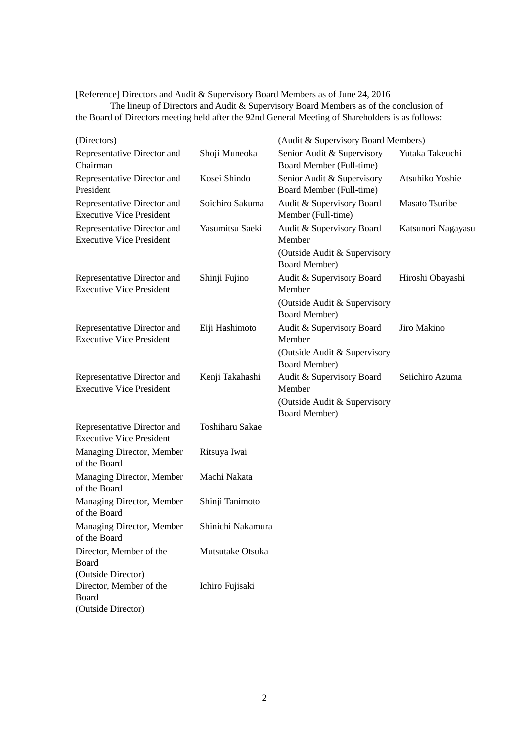[Reference] Directors and Audit & Supervisory Board Members as of June 24, 2016

The lineup of Directors and Audit & Supervisory Board Members as of the conclusion of the Board of Directors meeting held after the 92nd General Meeting of Shareholders is as follows:

| (Directors)                                                                  |                   | (Audit & Supervisory Board Members)                    |                    |
|------------------------------------------------------------------------------|-------------------|--------------------------------------------------------|--------------------|
| Representative Director and<br>Chairman                                      | Shoji Muneoka     | Senior Audit & Supervisory<br>Board Member (Full-time) | Yutaka Takeuchi    |
| Representative Director and<br>President                                     | Kosei Shindo      | Senior Audit & Supervisory<br>Board Member (Full-time) | Atsuhiko Yoshie    |
| Representative Director and<br><b>Executive Vice President</b>               | Soichiro Sakuma   | Audit & Supervisory Board<br>Member (Full-time)        | Masato Tsuribe     |
| Representative Director and<br><b>Executive Vice President</b>               | Yasumitsu Saeki   | Audit & Supervisory Board<br>Member                    | Katsunori Nagayasu |
|                                                                              |                   | (Outside Audit & Supervisory<br><b>Board Member)</b>   |                    |
| Representative Director and<br><b>Executive Vice President</b>               | Shinji Fujino     | Audit & Supervisory Board<br>Member                    | Hiroshi Obayashi   |
|                                                                              |                   | (Outside Audit & Supervisory<br><b>Board Member)</b>   |                    |
| Representative Director and<br><b>Executive Vice President</b>               | Eiji Hashimoto    | Audit & Supervisory Board<br>Member                    | Jiro Makino        |
|                                                                              |                   | (Outside Audit & Supervisory<br><b>Board Member)</b>   |                    |
| Representative Director and<br><b>Executive Vice President</b>               | Kenji Takahashi   | Audit & Supervisory Board<br>Member                    | Seiichiro Azuma    |
|                                                                              |                   | (Outside Audit & Supervisory<br>Board Member)          |                    |
| Representative Director and<br><b>Executive Vice President</b>               | Toshiharu Sakae   |                                                        |                    |
| Managing Director, Member<br>of the Board                                    | Ritsuya Iwai      |                                                        |                    |
| Managing Director, Member<br>of the Board                                    | Machi Nakata      |                                                        |                    |
| Managing Director, Member<br>of the Board                                    | Shinji Tanimoto   |                                                        |                    |
| Managing Director, Member<br>of the Board                                    | Shinichi Nakamura |                                                        |                    |
| Director, Member of the<br>Board                                             | Mutsutake Otsuka  |                                                        |                    |
| (Outside Director)<br>Director, Member of the<br>Board<br>(Outside Director) | Ichiro Fujisaki   |                                                        |                    |